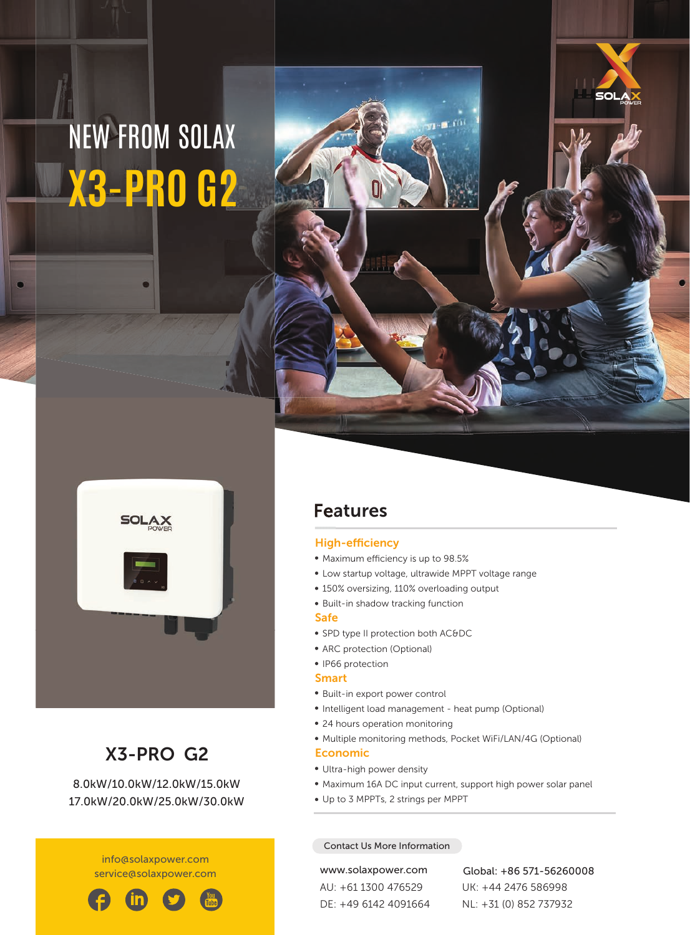# NEW FROM SOLAX **X3-PRO G2**



## X3-PRO G2

8.0kW/10.0kW/12.0kW/15.0kW 17.0kW/20.0kW/25.0kW/30.0kW

> info@solaxpower.com service@solaxpower.com



### Features

#### High-efficiency

- Maximum efficiency is up to 98.5%
- Low startup voltage, ultrawide MPPT voltage range

 $1 - 10$ 

- 150% oversizing, 110% overloading output
- Built-in shadow tracking function

#### Safe

- SPD type II protection both AC&DC
- ARC protection (Optional)
- IP66 protection

#### Smart

- Built-in export power control
- Intelligent load management heat pump (Optional)
- 24 hours operation monitoring
- Multiple monitoring methods, Pocket WiFi/LAN/4G (Optional)

#### Economic

- Ultra-high power density
- Maximum 16A DC input current, support high power solar panel
- Up to 3 MPPTs, 2 strings per MPPT

#### Contact Us More Information

AU: +61 1300 476529 DE: +49 6142 4091664

www.solaxpower.com Global: +86 571-56260008 UK: +44 2476 586998 NL: +31 (0) 852 737932